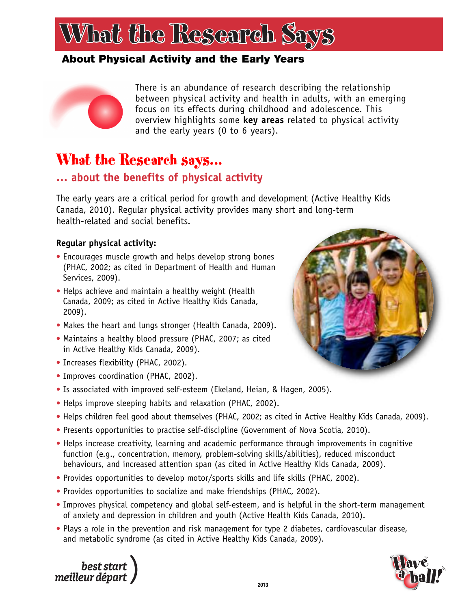#### **About Physical Activity and the Early Years**



There is an abundance of research describing the relationship between physical activity and health in adults, with an emerging focus on its effects during childhood and adolescence. This overview highlights some **key areas** related to physical activity and the early years (0 to 6 years).

### What the Research says...

#### **… about the benefits of physical activity**

The early years are a critical period for growth and development (Active Healthy Kids Canada, 2010). Regular physical activity provides many short and long-term health-related and social benefits.

#### **Regular physical activity:**

- Encourages muscle growth and helps develop strong bones (PHAC, 2002; as cited in Department of Health and Human Services, 2009).
- Helps achieve and maintain a healthy weight (Health Canada, 2009; as cited in Active Healthy Kids Canada, 2009).
- Makes the heart and lungs stronger (Health Canada, 2009).
- Maintains a healthy blood pressure (PHAC, 2007; as cited in Active Healthy Kids Canada, 2009).
- Increases flexibility (PHAC, 2002).
- Improves coordination (PHAC, 2002).
- Is associated with improved self-esteem (Ekeland, Heian, & Hagen, 2005).
- Helps improve sleeping habits and relaxation (PHAC, 2002).
- Helps children feel good about themselves (PHAC, 2002; as cited in Active Healthy Kids Canada, 2009).
- Presents opportunities to practise self-discipline (Government of Nova Scotia, 2010).
- Helps increase creativity, learning and academic performance through improvements in cognitive function (e.g., concentration, memory, problem-solving skills/abilities), reduced misconduct behaviours, and increased attention span (as cited in Active Healthy Kids Canada, 2009).
- Provides opportunities to develop motor/sports skills and life skills (PHAC, 2002).
- Provides opportunities to socialize and make friendships (PHAC, 2002).
- Improves physical competency and global self-esteem, and is helpful in the short-term management of anxiety and depression in children and youth (Active Health Kids Canada, 2010).
- Plays a role in the prevention and risk management for type 2 diabetes, cardiovascular disease, and metabolic syndrome (as cited in Active Healthy Kids Canada, 2009).





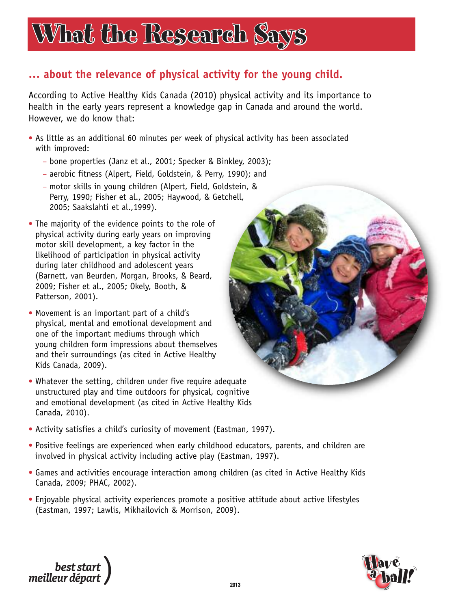# What the Research Says What the Research Says

#### **… about the relevance of physical activity for the young child.**

According to Active Healthy Kids Canada (2010) physical activity and its importance to health in the early years represent a knowledge gap in Canada and around the world. However, we do know that:

- As little as an additional 60 minutes per week of physical activity has been associated with improved:
	- bone properties (Janz et al., 2001; Specker & Binkley, 2003);
	- aerobic fitness (Alpert, Field, Goldstein, & Perry, 1990); and
	- motor skills in young children (Alpert, Field, Goldstein, & Perry, 1990; Fisher et al., 2005; Haywood, & Getchell, 2005; Saakslahti et al.,1999).
- The majority of the evidence points to the role of physical activity during early years on improving motor skill development, a key factor in the likelihood of participation in physical activity during later childhood and adolescent years (Barnett, van Beurden, Morgan, Brooks, & Beard, 2009; Fisher et al., 2005; Okely, Booth, & Patterson, 2001).
- Movement is an important part of a child's physical, mental and emotional development and one of the important mediums through which young children form impressions about themselves and their surroundings (as cited in Active Healthy Kids Canada, 2009).
- Whatever the setting, children under five require adequate unstructured play and time outdoors for physical, cognitive and emotional development (as cited in Active Healthy Kids Canada, 2010).
- Activity satisfies a child's curiosity of movement (Eastman, 1997).
- Positive feelings are experienced when early childhood educators, parents, and children are involved in physical activity including active play (Eastman, 1997).
- Games and activities encourage interaction among children (as cited in Active Healthy Kids Canada, 2009; PHAC, 2002).
- Enjoyable physical activity experiences promote a positive attitude about active lifestyles (Eastman, 1997; Lawlis, Mikhailovich & Morrison, 2009).





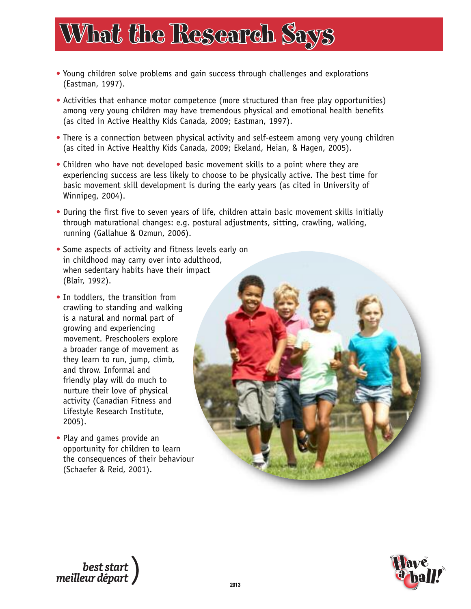- Young children solve problems and gain success through challenges and explorations (Eastman, 1997).
- Activities that enhance motor competence (more structured than free play opportunities) among very young children may have tremendous physical and emotional health benefits (as cited in Active Healthy Kids Canada, 2009; Eastman, 1997).
- There is a connection between physical activity and self-esteem among very young children (as cited in Active Healthy Kids Canada, 2009; Ekeland, Heian, & Hagen, 2005).
- Children who have not developed basic movement skills to a point where they are experiencing success are less likely to choose to be physically active. The best time for basic movement skill development is during the early years (as cited in University of Winnipeg, 2004).
- During the first five to seven years of life, children attain basic movement skills initially through maturational changes: e.g. postural adjustments, sitting, crawling, walking, running (Gallahue & Ozmun, 2006).
- Some aspects of activity and fitness levels early on in childhood may carry over into adulthood, when sedentary habits have their impact (Blair, 1992).
- In toddlers, the transition from crawling to standing and walking is a natural and normal part of growing and experiencing movement. Preschoolers explore a broader range of movement as they learn to run, jump, climb, and throw. Informal and friendly play will do much to nurture their love of physical activity (Canadian Fitness and Lifestyle Research Institute, 2005).
- Play and games provide an opportunity for children to learn the consequences of their behaviour (Schaefer & Reid, 2001).





best start<br>, meilleur départ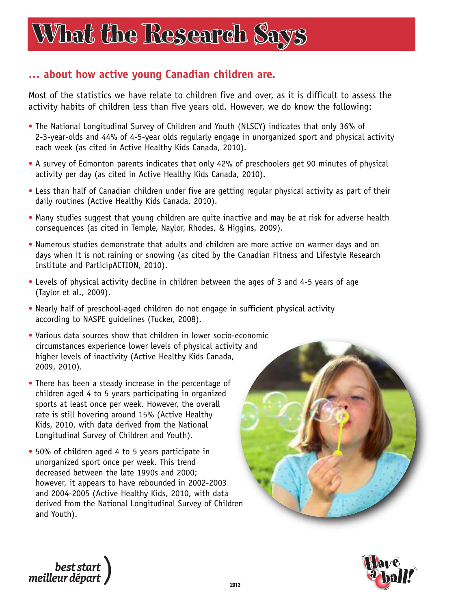#### **… about how active young Canadian children are.**

Most of the statistics we have relate to children five and over, as it is difficult to assess the activity habits of children less than five years old. However, we do know the following:

- The National Longitudinal Survey of Children and Youth (NLSCY) indicates that only 36% of 2-3-year-olds and 44% of 4-5-year olds regularly engage in unorganized sport and physical activity each week (as cited in Active Healthy Kids Canada, 2010).
- A survey of Edmonton parents indicates that only 42% of preschoolers get 90 minutes of physical activity per day (as cited in Active Healthy Kids Canada, 2010).
- Less than half of Canadian children under five are getting regular physical activity as part of their daily routines (Active Healthy Kids Canada, 2010).
- Many studies suggest that young children are quite inactive and may be at risk for adverse health consequences (as cited in Temple, Naylor, Rhodes, & Higgins, 2009).
- Numerous studies demonstrate that adults and children are more active on warmer days and on days when it is not raining or snowing (as cited by the Canadian Fitness and Lifestyle Research Institute and ParticipACTION, 2010).
- Levels of physical activity decline in children between the ages of 3 and 4-5 years of age (Taylor et al., 2009).
- Nearly half of preschool-aged children do not engage in sufficient physical activity according to NASPE guidelines (Tucker, 2008).
- Various data sources show that children in lower socio-economic circumstances experience lower levels of physical activity and higher levels of inactivity (Active Healthy Kids Canada, 2009, 2010).
- There has been a steady increase in the percentage of children aged 4 to 5 years participating in organized sports at least once per week. However, the overall rate is still hovering around 15% (Active Healthy Kids, 2010, with data derived from the National Longitudinal Survey of Children and Youth).
- 50% of children aged 4 to 5 years participate in unorganized sport once per week. This trend decreased between the late 1990s and 2000; however, it appears to have rebounded in 2002-2003 and 2004-2005 (Active Healthy Kids, 2010, with data derived from the National Longitudinal Survey of Children and Youth).





best start<br>| best start<br>| meilleur départ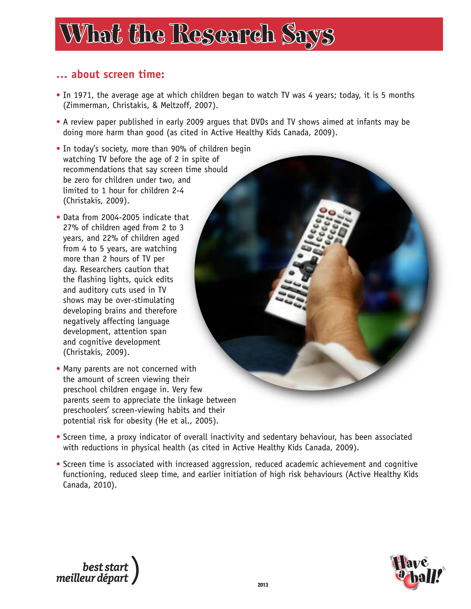#### **… about screen time:**

- In 1971, the average age at which children began to watch TV was 4 years; today, it is 5 months (Zimmerman, Christakis, & Meltzoff, 2007).
- A review paper published in early 2009 argues that DVDs and TV shows aimed at infants may be doing more harm than good (as cited in Active Healthy Kids Canada, 2009).
- In today's society, more than 90% of children begin watching TV before the age of 2 in spite of recommendations that say screen time should be zero for children under two, and limited to 1 hour for children 2-4 (Christakis, 2009).
- Data from 2004-2005 indicate that 27% of children aged from 2 to 3 years, and 22% of children aged from 4 to 5 years, are watching more than 2 hours of TV per day. Researchers caution that the flashing lights, quick edits and auditory cuts used in TV shows may be over-stimulating developing brains and therefore negatively affecting language development, attention span and cognitive development (Christakis, 2009).
- Many parents are not concerned with the amount of screen viewing their preschool children engage in. Very few parents seem to appreciate the linkage between preschoolers' screen-viewing habits and their potential risk for obesity (He et al., 2005).
- Screen time, a proxy indicator of overall inactivity and sedentary behaviour, has been associated with reductions in physical health (as cited in Active Healthy Kids Canada, 2009).
- Screen time is associated with increased aggression, reduced academic achievement and cognitive functioning, reduced sleep time, and earlier initiation of high risk behaviours (Active Healthy Kids Canada, 2010).



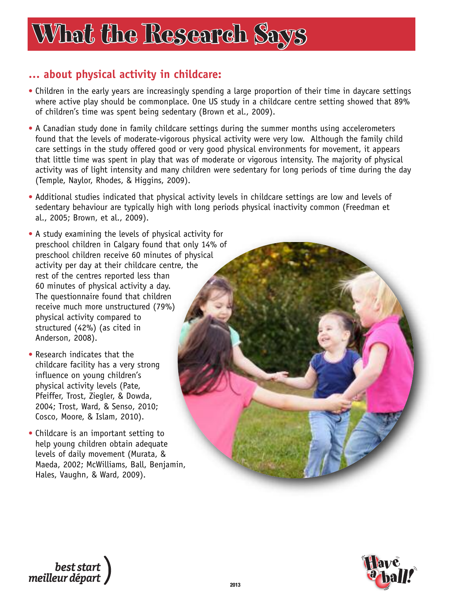#### **… about physical activity in childcare:**

- Children in the early years are increasingly spending a large proportion of their time in daycare settings where active play should be commonplace. One US study in a childcare centre setting showed that 89% of children's time was spent being sedentary (Brown et al., 2009).
- A Canadian study done in family childcare settings during the summer months using accelerometers found that the levels of moderate-vigorous physical activity were very low. Although the family child care settings in the study offered good or very good physical environments for movement, it appears that little time was spent in play that was of moderate or vigorous intensity. The majority of physical activity was of light intensity and many children were sedentary for long periods of time during the day (Temple, Naylor, Rhodes, & Higgins, 2009).
- Additional studies indicated that physical activity levels in childcare settings are low and levels of sedentary behaviour are typically high with long periods physical inactivity common (Freedman et al., 2005; Brown, et al., 2009).
- A study examining the levels of physical activity for preschool children in Calgary found that only 14% of preschool children receive 60 minutes of physical activity per day at their childcare centre, the rest of the centres reported less than 60 minutes of physical activity a day. The questionnaire found that children receive much more unstructured (79%) physical activity compared to structured (42%) (as cited in Anderson, 2008).
- Research indicates that the childcare facility has a very strong influence on young children's physical activity levels (Pate, Pfeiffer, Trost, Ziegler, & Dowda, 2004; Trost, Ward, & Senso, 2010; Cosco, Moore, & Islam, 2010).
- Childcare is an important setting to help young children obtain adequate levels of daily movement (Murata, & Maeda, 2002; McWilliams, Ball, Benjamin, Hales, Vaughn, & Ward, 2009).



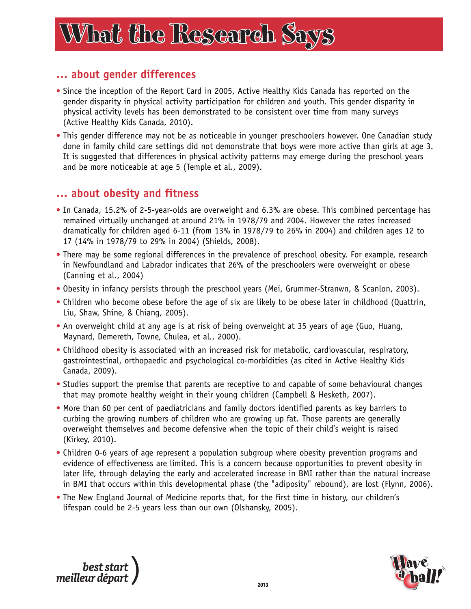## What the Research Says What the Research Says hat

#### **… about gender differences**

- Since the inception of the Report Card in 2005, Active Healthy Kids Canada has reported on the gender disparity in physical activity participation for children and youth. This gender disparity in physical activity levels has been demonstrated to be consistent over time from many surveys (Active Healthy Kids Canada, 2010).
- This gender difference may not be as noticeable in younger preschoolers however. One Canadian study done in family child care settings did not demonstrate that boys were more active than girls at age 3. It is suggested that differences in physical activity patterns may emerge during the preschool years and be more noticeable at age 5 (Temple et al., 2009).

#### **… about obesity and fitness**

- In Canada, 15.2% of 2-5-year-olds are overweight and 6.3% are obese. This combined percentage has remained virtually unchanged at around 21% in 1978/79 and 2004. However the rates increased dramatically for children aged 6-11 (from 13% in 1978/79 to 26% in 2004) and children ages 12 to 17 (14% in 1978/79 to 29% in 2004) (Shields, 2008).
- There may be some regional differences in the prevalence of preschool obesity. For example, research in Newfoundland and Labrador indicates that 26% of the preschoolers were overweight or obese (Canning et al., 2004)
- Obesity in infancy persists through the preschool years (Mei, Grummer-Stranwn, & Scanlon, 2003).
- Children who become obese before the age of six are likely to be obese later in childhood (Quattrin, Liu, Shaw, Shine, & Chiang, 2005).
- An overweight child at any age is at risk of being overweight at 35 years of age (Guo, Huang, Maynard, Demereth, Towne, Chulea, et al., 2000).
- Childhood obesity is associated with an increased risk for metabolic, cardiovascular, respiratory, gastrointestinal, orthopaedic and psychological co-morbidities (as cited in Active Healthy Kids Canada, 2009).
- Studies support the premise that parents are receptive to and capable of some behavioural changes that may promote healthy weight in their young children (Campbell & Hesketh, 2007).
- More than 60 per cent of paediatricians and family doctors identified parents as key barriers to curbing the growing numbers of children who are growing up fat. Those parents are generally overweight themselves and become defensive when the topic of their child's weight is raised (Kirkey, 2010).
- Children 0-6 years of age represent a population subgroup where obesity prevention programs and evidence of effectiveness are limited. This is a concern because opportunities to prevent obesity in later life, through delaying the early and accelerated increase in BMI rather than the natural increase in BMI that occurs within this developmental phase (the "adiposity" rebound), are lost (Flynn, 2006).
- The New England Journal of Medicine reports that, for the first time in history, our children's lifespan could be 2-5 years less than our own (Olshansky, 2005).



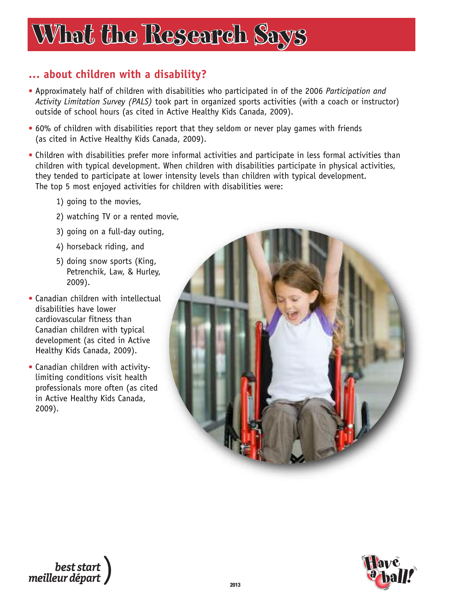#### **… about children with a disability?**

- Approximately half of children with disabilities who participated in of the 2006 *Participation and Activity Limitation Survey (PALS)* took part in organized sports activities (with a coach or instructor) outside of school hours (as cited in Active Healthy Kids Canada, 2009).
- 60% of children with disabilities report that they seldom or never play games with friends (as cited in Active Healthy Kids Canada, 2009).
- Children with disabilities prefer more informal activities and participate in less formal activities than children with typical development. When children with disabilities participate in physical activities, they tended to participate at lower intensity levels than children with typical development. The top 5 most enjoyed activities for children with disabilities were:
	- 1) going to the movies,
	- 2) watching TV or a rented movie,
	- 3) going on a full-day outing,
	- 4) horseback riding, and
	- 5) doing snow sports (King, Petrenchik, Law, & Hurley, 2009).
- Canadian children with intellectual disabilities have lower cardiovascular fitness than Canadian children with typical development (as cited in Active Healthy Kids Canada, 2009).
- Canadian children with activitylimiting conditions visit health professionals more often (as cited in Active Healthy Kids Canada, 2009).



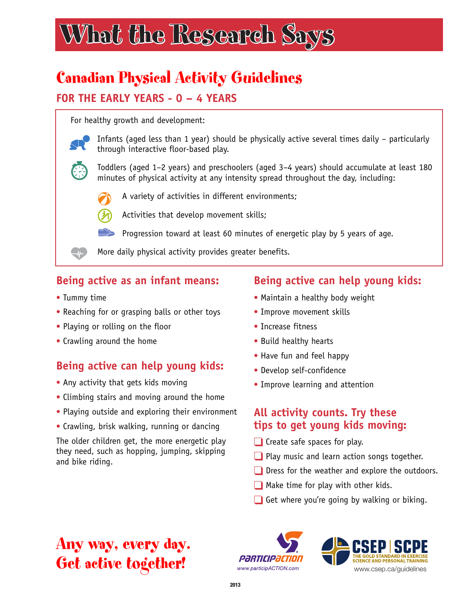### Canadian Physical Activity Guidelines

#### **FOR THE EARLY YEARS - 0 – 4 YEARS**

For healthy growth and development:



Infants (aged less than 1 year) should be physically active several times daily – particularly through interactive floor-based play.



Toddlers (aged 1–2 years) and preschoolers (aged 3–4 years) should accumulate at least 180 minutes of physical activity at any intensity spread throughout the day, including:



A variety of activities in different environments;



Activities that develop movement skills;

Progression toward at least 60 minutes of energetic play by 5 years of age.

More daily physical activity provides greater benefits.

#### **Being active as an infant means:**

- Tummy time
- Reaching for or grasping balls or other toys
- Playing or rolling on the floor
- Crawling around the home

#### **Being active can help young kids:**

- Any activity that gets kids moving
- Climbing stairs and moving around the home
- Playing outside and exploring their environment
- Crawling, brisk walking, running or dancing

The older children get, the more energetic play they need, such as hopping, jumping, skipping and bike riding.

#### **Being active can help young kids:**

- Maintain a healthy body weight
- Improve movement skills
- Increase fitness
- Build healthy hearts
- Have fun and feel happy
- Develop self-confidence
- Improve learning and attention

#### **All activity counts. Try these tips to get young kids moving:**

- ❑ Create safe spaces for play.
- ❑ Play music and learn action songs together.
- Dress for the weather and explore the outdoors.
- ❑ Make time for play with other kids.
- Get where you're going by walking or biking.

### Any way, every day. Get active together!

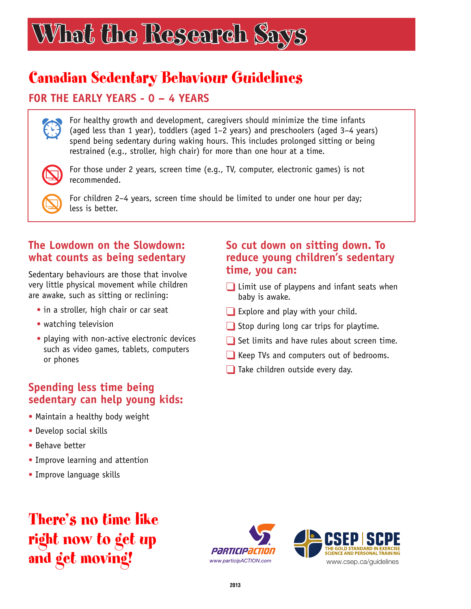# What the Research Says What the Research Says

### Canadian Sedentary Behaviour Guidelines

#### **FOR THE EARLY YEARS - 0 – 4 YEARS**

For healthy growth and development, caregivers should minimize the time infants (aged less than 1 year), toddlers (aged 1–2 years) and preschoolers (aged 3–4 years) spend being sedentary during waking hours. This includes prolonged sitting or being restrained (e.g., stroller, high chair) for more than one hour at a time.



E.

For those under 2 years, screen time (e.g., TV, computer, electronic games) is not recommended.

For children 2–4 years, screen time should be limited to under one hour per day; less is better.

#### **The Lowdown on the Slowdown: what counts as being sedentary**

Sedentary behaviours are those that involve very little physical movement while children are awake, such as sitting or reclining:

- in a stroller, high chair or car seat
- watching television
- playing with non-active electronic devices such as video games, tablets, computers or phones

#### **Spending less time being sedentary can help young kids:**

- Maintain a healthy body weight
- Develop social skills
- Behave better
- Improve learning and attention
- Improve language skills

### There's no time like right now to get up and get moving!





#### **So cut down on sitting down. To reduce young children's sedentary time, you can:**

- ❑ Limit use of playpens and infant seats when baby is awake.
- Explore and play with your child.
- ❑ Stop during long car trips for playtime.
- Set limits and have rules about screen time.
- ❑ Keep TVs and computers out of bedrooms.
- Take children outside every day.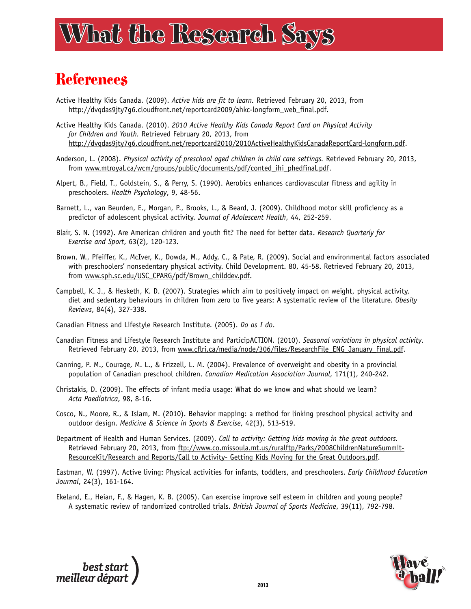## What the Research Says What the Research Says hat

### **References**

- Active Healthy Kids Canada. (2009). *Active kids are fit to learn.* Retrieved February 20, 2013, from http://dvqdas9jty7g6.cloudfront.net/reportcard2009/ahkc-longform\_web\_final.pdf.
- Active Healthy Kids Canada. (2010). *2010 Active Healthy Kids Canada Report Card on Physical Activity for Children and Youth.* Retrieved February 20, 2013, from http://dvqdas9jty7g6.cloudfront.net/reportcard2010/2010ActiveHealthyKidsCanadaReportCard-longform.pdf.
- Anderson, L. (2008). *Physical activity of preschool aged children in child care settings.* Retrieved February 20, 2013, from www.mtroyal.ca/wcm/groups/public/documents/pdf/conted\_ihi\_phedfinal.pdf.
- Alpert, B., Field, T., Goldstein, S., & Perry, S. (1990). Aerobics enhances cardiovascular fitness and agility in preschoolers. *Health Psychology*, 9, 48-56.
- Barnett, L., van Beurden, E., Morgan, P., Brooks, L., & Beard, J. (2009). Childhood motor skill proficiency as a predictor of adolescent physical activity. *Journal of Adolescent Health*, 44, 252-259.
- Blair, S. N. (1992). Are American children and youth fit? The need for better data. *Research Quarterly for Exercise and Sport*, 63(2), 120-123.
- Brown, W., Pfeiffer, K., McIver, K., Dowda, M., Addy, C., & Pate, R. (2009). Social and environmental factors associated with preschoolers' nonsedentary physical activity. Child Development. 80, 45-58. Retrieved February 20, 2013, from www.sph.sc.edu/USC\_CPARG/pdf/Brown\_childdev.pdf.
- Campbell, K. J., & Hesketh, K. D. (2007). Strategies which aim to positively impact on weight, physical activity, diet and sedentary behaviours in children from zero to five years: A systematic review of the literature. *Obesity Reviews*, 84(4), 327-338.
- Canadian Fitness and Lifestyle Research Institute. (2005). *Do as I do*.
- Canadian Fitness and Lifestyle Research Institute and ParticipACTION. (2010). *Seasonal variations in physical activity.* Retrieved February 20, 2013, from www.cflri.ca/media/node/306/files/ResearchFile\_ENG\_January\_Final.pdf.
- Canning, P. M., Courage, M. L., & Frizzell, L. M. (2004). Prevalence of overweight and obesity in a provincial population of Canadian preschool children. *Canadian Medication Association Journal*, 171(1), 240-242.
- Christakis, D. (2009). The effects of infant media usage: What do we know and what should we learn? *Acta Paediatrica*, 98, 8-16.
- Cosco, N., Moore, R., & Islam, M. (2010). Behavior mapping: a method for linking preschool physical activity and outdoor design. *Medicine & Science in Sports & Exercise*, 42(3), 513-519.
- Department of Health and Human Services. (2009). *Call to activity: Getting kids moving in the great outdoors.* Retrieved February 20, 2013, from [ftp://www.co.missoula.mt.us/ruralftp/Parks/2008ChildrenNatureSummit-](ftp://www.co.missoula.mt.us/ruralftp/Parks/2008ChildrenNatureSummit-ResourceKit/Research%20and%20Reports/Call%20to%20Activity-%20Getting%20Kids%20Moving%20for%20the%20Great%20Outdoors.pdf)ResourceKit/Research and Reports/Call to Activity- Getting Kids Moving for the Great Outdoors.pdf.

Eastman, W. (1997). Active living: Physical activities for infants, toddlers, and preschoolers. *Early Childhood Education Journal*, 24(3), 161-164.

Ekeland, E., Heian, F., & Hagen, K. B. (2005). Can exercise improve self esteem in children and young people? A systematic review of randomized controlled trials. *British Journal of Sports Medicine*, 39(11), 792-798.



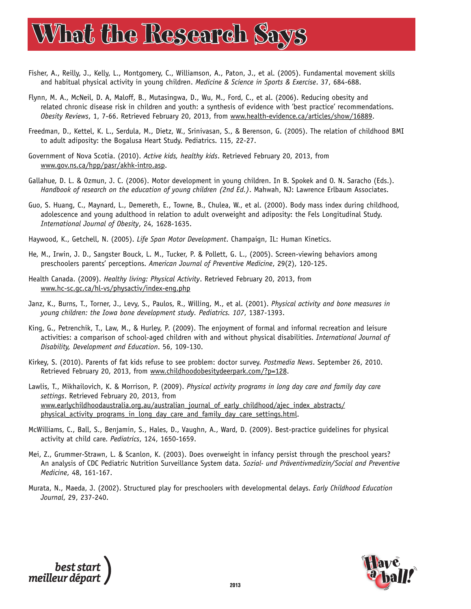- Fisher, A., Reilly, J., Kelly, L., Montgomery, C., Williamson, A., Paton, J., et al. (2005). Fundamental movement skills and habitual physical activity in young children. *Medicine & Science in Sports & Exercise*. 37, 684-688.
- Flynn, M. A., McNeil, D. A, Maloff, B., Mutasingwa, D., Wu, M., Ford, C., et al. (2006). Reducing obesity and related chronic disease risk in children and youth: a synthesis of evidence with 'best practice' recommendations. *Obesity Reviews*, 1, 7-66. Retrieved February 20, 2013, from www.health-evidence.ca/articles/show/16889.
- Freedman, D., Kettel, K. L., Serdula, M., Dietz, W., Srinivasan, S., & Berenson, G. (2005). The relation of childhood BMI to adult adiposity: the Bogalusa Heart Study. Pediatrics. 115, 22-27.
- Government of Nova Scotia. (2010). *Active kids, healthy kids*. Retrieved February 20, 2013, from www.gov.ns.ca/hpp/pasr/akhk-intro.asp.
- Gallahue, D. L. & Ozmun, J. C. (2006). Motor development in young children. In B. Spokek and O. N. Saracho (Eds.). *Handbook of research on the education of young children (2nd Ed.)*. Mahwah, NJ: Lawrence Erlbaum Associates.
- Guo, S. Huang, C., Maynard, L., Demereth, E., Towne, B., Chulea, W., et al. (2000). Body mass index during childhood, adolescence and young adulthood in relation to adult overweight and adiposity: the Fels Longitudinal Study. *International Journal of Obesity*, 24, 1628-1635.
- Haywood, K., Getchell, N. (2005). *Life Span Motor Development*. Champaign, IL: Human Kinetics.
- He, M., Irwin, J. D., Sangster Bouck, L. M., Tucker, P. & Pollett, G. L., (2005). Screen-viewing behaviors among preschoolers parents' perceptions. *American Journal of Preventive Medicine*, 29(2), 120-125.
- Health Canada. (2009). *Healthy living: Physical Activity*. Retrieved February 20, 2013, from www.hc-sc.gc.ca/hl-vs/physactiv/index-eng.php
- Janz, K., Burns, T., Torner, J., Levy, S., Paulos, R., Willing, M., et al. (2001). *Physical activity and bone measures in young children: the Iowa bone development study. Pediatrics. 107*, 1387-1393.
- King, G., Petrenchik, T., Law, M., & Hurley, P. (2009). The enjoyment of formal and informal recreation and leisure activities: a comparison of school-aged children with and without physical disabilities. *International Journal of Disability, Development and Education*. 56, 109-130.
- Kirkey, S. (2010). Parents of fat kids refuse to see problem: doctor survey. *Postmedia News*. September 26, 2010. Retrieved February 20, 2013, from www.childhoodobesitydeerpark.com/?p=128.
- Lawlis, T., Mikhailovich, K. & Morrison, P. (2009). *Physical activity programs in long day care and family day care settings*. Retrieved February 20, 2013, from [www.earlychildhoodaustralia.org.au/australian\\_journal\\_of\\_early\\_childhood/ajec\\_index\\_abstracts/](http://www.earlychildhoodaustralia.org.au/australian_journal_of_early_childhood/ajec_index_abstracts/physical_activity_programs_in_long_day_care_and_family_day_care_settings.html) physical activity programs in long day care and family day care settings.html.
- McWilliams, C., Ball, S., Benjamin, S., Hales, D., Vaughn, A., Ward, D. (2009). Best-practice guidelines for physical activity at child care. *Pediatrics*, 124, 1650-1659.
- Mei, Z., Grummer-Strawn, L. & Scanlon, K. (2003). Does overweight in infancy persist through the preschool years? An analysis of CDC Pediatric Nutrition Surveillance System data. *Sozial- und Präventivmedizin/Social and Preventive Medicine*, 48, 161-167.
- Murata, N., Maeda, J. (2002). Structured play for preschoolers with developmental delays. *Early Childhood Education Journal*, 29, 237-240.

best start<br>meilleur départ